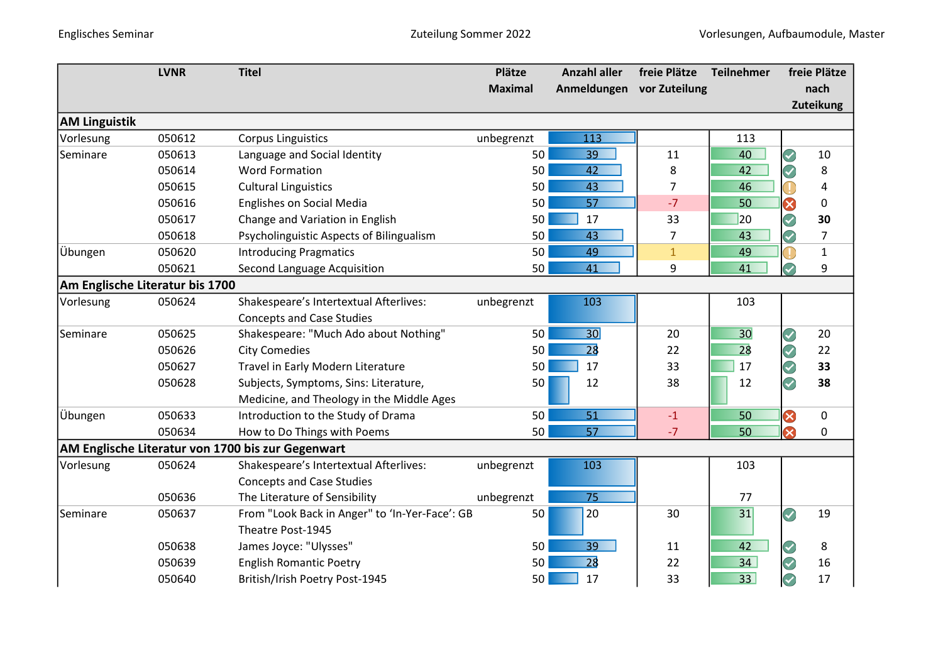|                                 | <b>LVNR</b> | <b>Titel</b>                                      | Plätze         | <b>Anzahl aller</b> | freie Plätze  | Teilnehmer |                      | freie Plätze   |
|---------------------------------|-------------|---------------------------------------------------|----------------|---------------------|---------------|------------|----------------------|----------------|
|                                 |             |                                                   | <b>Maximal</b> | Anmeldungen         | vor Zuteilung |            |                      | nach           |
|                                 |             |                                                   |                |                     |               |            |                      | Zuteikung      |
| <b>AM Linguistik</b>            |             |                                                   |                |                     |               |            |                      |                |
| Vorlesung                       | 050612      | <b>Corpus Linguistics</b>                         | unbegrenzt     | 113                 |               | 113        |                      |                |
| Seminare                        | 050613      | Language and Social Identity                      | 50             | 39                  | 11            | 40         | $\blacktriangledown$ | 10             |
|                                 | 050614      | <b>Word Formation</b>                             | 50             | 42                  | 8             | 42         | 7                    | 8              |
|                                 | 050615      | <b>Cultural Linguistics</b>                       | 50             | 43                  | 7             | 46         |                      | 4              |
|                                 | 050616      | Englishes on Social Media                         | 50             | 57                  | $-7$          | 50         | X                    | 0              |
|                                 | 050617      | Change and Variation in English                   | 50             | 17                  | 33            | 20         |                      | 30             |
|                                 | 050618      | Psycholinguistic Aspects of Bilingualism          | 50             | 43                  | 7             | 43         | Ø                    | $\overline{7}$ |
| Übungen                         | 050620      | <b>Introducing Pragmatics</b>                     | 50             | 49                  | $\mathbf{1}$  | 49         |                      | $\mathbf{1}$   |
|                                 | 050621      | Second Language Acquisition                       | 50             | 41                  | 9             | 41         |                      | 9              |
| Am Englische Literatur bis 1700 |             |                                                   |                |                     |               |            |                      |                |
| Vorlesung                       | 050624      | Shakespeare's Intertextual Afterlives:            | unbegrenzt     | 103                 |               | 103        |                      |                |
|                                 |             | <b>Concepts and Case Studies</b>                  |                |                     |               |            |                      |                |
| Seminare                        | 050625      | Shakespeare: "Much Ado about Nothing"             | 50             | 30                  | 20            | 30         | $\blacktriangledown$ | 20             |
|                                 | 050626      | <b>City Comedies</b>                              | 50             | 28                  | 22            | 28         |                      | 22             |
|                                 | 050627      | Travel in Early Modern Literature                 | 50             | 17                  | 33            | 17         | Q                    | 33             |
|                                 | 050628      | Subjects, Symptoms, Sins: Literature,             | 50             | 12                  | 38            | 12         | $\blacktriangledown$ | 38             |
|                                 |             | Medicine, and Theology in the Middle Ages         |                |                     |               |            |                      |                |
| Übungen                         | 050633      | Introduction to the Study of Drama                | 50             | 51                  | $-1$          | 50         | 8                    | 0              |
|                                 | 050634      | How to Do Things with Poems                       | 50             | 57                  | $-7$          | 50         | $\bullet$            | 0              |
|                                 |             | AM Englische Literatur von 1700 bis zur Gegenwart |                |                     |               |            |                      |                |
| Vorlesung                       | 050624      | Shakespeare's Intertextual Afterlives:            | unbegrenzt     | 103                 |               | 103        |                      |                |
|                                 |             | <b>Concepts and Case Studies</b>                  |                |                     |               |            |                      |                |
|                                 | 050636      | The Literature of Sensibility                     | unbegrenzt     | 75                  |               | 77         |                      |                |
| Seminare                        | 050637      | From "Look Back in Anger" to 'In-Yer-Face': GB    | 50             | 20                  | 30            | 31         | V                    | 19             |
|                                 |             | Theatre Post-1945                                 |                |                     |               |            |                      |                |
|                                 | 050638      | James Joyce: "Ulysses"                            | 50             | 39                  | 11            | 42         |                      | 8              |
|                                 | 050639      | <b>English Romantic Poetry</b>                    | 50             | 28                  | 22            | 34         |                      | 16             |
|                                 |             |                                                   |                |                     |               |            |                      |                |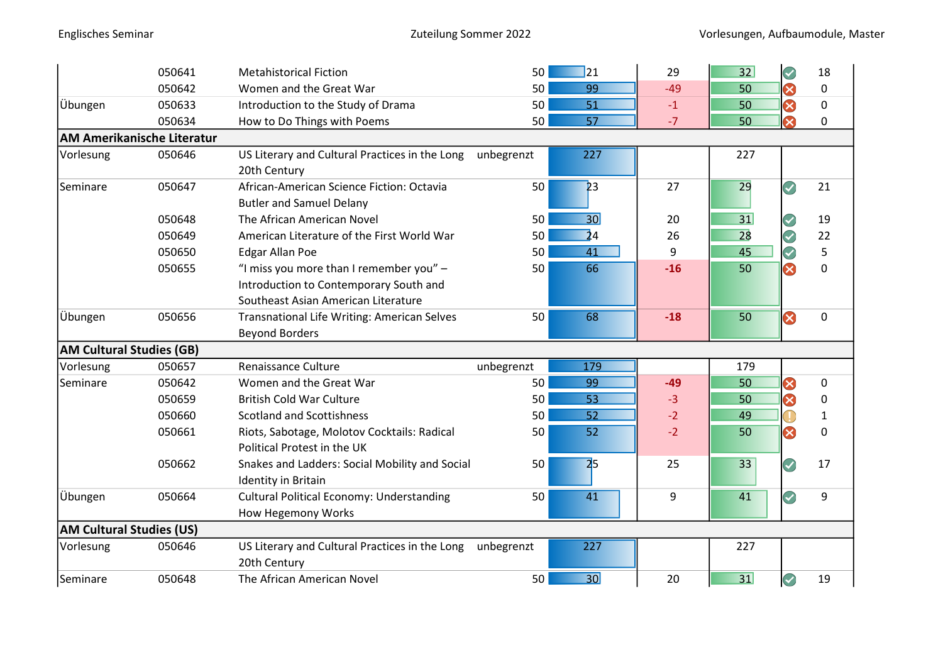|                                 | 050641                     | <b>Metahistorical Fiction</b>                                                                                            | 50<br>$\Box$ 21       | 29    | 32<br>$\color{blue}\mathcal{Q}$ | 18          |
|---------------------------------|----------------------------|--------------------------------------------------------------------------------------------------------------------------|-----------------------|-------|---------------------------------|-------------|
|                                 | 050642                     | Women and the Great War                                                                                                  | 50<br>99              | $-49$ | ⊗<br>50                         | 0           |
| Übungen                         | 050633                     | Introduction to the Study of Drama                                                                                       | 51<br>50              | $-1$  | ⊗<br>50                         | 0           |
|                                 | 050634                     | How to Do Things with Poems                                                                                              | 50<br>57              | $-7$  | $\infty$<br>50                  | 0           |
|                                 | AM Amerikanische Literatur |                                                                                                                          |                       |       |                                 |             |
| Vorlesung                       | 050646                     | US Literary and Cultural Practices in the Long<br>20th Century                                                           | 227<br>unbegrenzt     |       | 227                             |             |
| Seminare                        | 050647                     | African-American Science Fiction: Octavia<br><b>Butler and Samuel Delany</b>                                             | 50<br>23              | 27    | 29<br>Ø                         | 21          |
|                                 | 050648                     | The African American Novel                                                                                               | 30 <sup>l</sup><br>50 | 20    | 31                              | 19          |
|                                 | 050649                     | American Literature of the First World War                                                                               | $\overline{2}4$<br>50 | 26    | 28                              | 22          |
|                                 | 050650                     | <b>Edgar Allan Poe</b>                                                                                                   | 41<br>50 <sub>1</sub> | 9     | Ø<br>45                         | 5           |
|                                 | 050655                     | "I miss you more than I remember you" -<br>Introduction to Contemporary South and<br>Southeast Asian American Literature | 66<br>50              | $-16$ | $\boldsymbol{\Omega}$<br>50     | $\mathbf 0$ |
| Übungen                         | 050656                     | Transnational Life Writing: American Selves<br><b>Beyond Borders</b>                                                     | 50<br>68              | $-18$ | Ø<br>50                         | $\mathbf 0$ |
| <b>AM Cultural Studies (GB)</b> |                            |                                                                                                                          |                       |       |                                 |             |
| Vorlesung                       | 050657                     | Renaissance Culture                                                                                                      | unbegrenzt<br>179     |       | 179                             |             |
| Seminare                        | 050642                     | Women and the Great War                                                                                                  | 99<br>50              | $-49$ | ⊗<br>50                         | 0           |
|                                 | 050659                     | <b>British Cold War Culture</b>                                                                                          | 50<br>53              | $-3$  | ⊗<br>50                         | 0           |
|                                 | 050660                     | <b>Scotland and Scottishness</b>                                                                                         | 50<br>52              | $-2$  | 49                              | 1           |
|                                 | 050661                     | Riots, Sabotage, Molotov Cocktails: Radical<br>Political Protest in the UK                                               | 50<br>52              | $-2$  | $\infty$<br>50                  | 0           |
|                                 | 050662                     | Snakes and Ladders: Social Mobility and Social<br>Identity in Britain                                                    | 2 <sub>5</sub><br>50  | 25    | 33                              | 17          |
| Übungen                         | 050664                     | <b>Cultural Political Economy: Understanding</b><br>How Hegemony Works                                                   | 50<br>41              | 9     | Q<br>41                         | 9           |
| <b>AM Cultural Studies (US)</b> |                            |                                                                                                                          |                       |       |                                 |             |
| Vorlesung                       | 050646                     | US Literary and Cultural Practices in the Long<br>20th Century                                                           | 227<br>unbegrenzt     |       | 227                             |             |
| Seminare                        | 050648                     | The African American Novel                                                                                               | 30<br>50              | 20    | 31                              | 19          |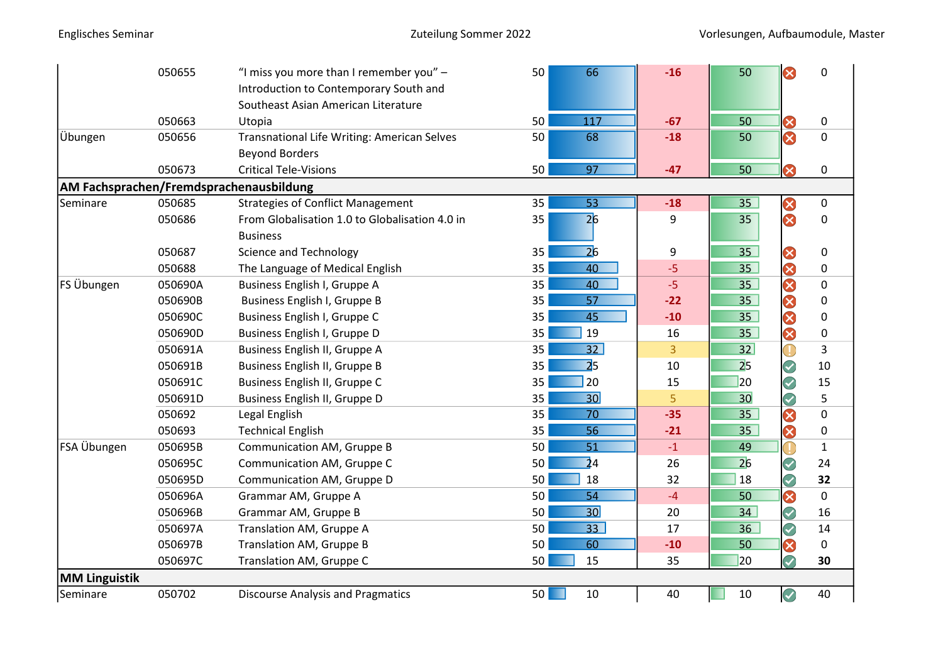|                      | 050655  | "I miss you more than I remember you" -        | 50<br>66              | $-16$          | ⊗<br>50                          | $\mathbf 0$  |
|----------------------|---------|------------------------------------------------|-----------------------|----------------|----------------------------------|--------------|
|                      |         | Introduction to Contemporary South and         |                       |                |                                  |              |
|                      |         | Southeast Asian American Literature            |                       |                |                                  |              |
|                      | 050663  | Utopia                                         | 50<br>117             | $-67$          | 50<br>Ø                          | 0            |
| Übungen              | 050656  | Transnational Life Writing: American Selves    | 50<br>68              | $-18$          | S<br>50                          | $\mathbf 0$  |
|                      |         | <b>Beyond Borders</b>                          |                       |                |                                  |              |
|                      | 050673  | <b>Critical Tele-Visions</b>                   | 50<br>97              | $-47$          | $\infty$<br>50                   | $\mathbf 0$  |
|                      |         | AM Fachsprachen/Fremdsprachenausbildung        |                       |                |                                  |              |
| Seminare             | 050685  | <b>Strategies of Conflict Management</b>       | 35<br>53              | $-18$          | ⊗<br>35                          | $\mathbf 0$  |
|                      | 050686  | From Globalisation 1.0 to Globalisation 4.0 in | $\overline{26}$<br>35 | 9              | ⊗<br>35                          | 0            |
|                      |         | <b>Business</b>                                |                       |                |                                  |              |
|                      | 050687  | <b>Science and Technology</b>                  | 26<br>35              | 9              | 35<br>8                          | $\pmb{0}$    |
|                      | 050688  | The Language of Medical English                | 40<br>35              | $-5$           | 3<br>35 <sub>2</sub>             | $\pmb{0}$    |
| FS Übungen           | 050690A | Business English I, Gruppe A                   | 40<br>35              | $-5$           | $\boldsymbol{\mathcal{R}}$<br>35 | $\mathbf 0$  |
|                      | 050690B | Business English I, Gruppe B                   | 35<br>57              | $-22$          | 0<br>35                          | $\pmb{0}$    |
|                      | 050690C | Business English I, Gruppe C                   | 35<br>45              | $-10$          | Ø<br>35                          | $\mathbf 0$  |
|                      | 050690D | Business English I, Gruppe D                   | 19<br>35              | 16             | 0<br>35 <sup>7</sup>             | 0            |
|                      | 050691A | Business English II, Gruppe A                  | 32<br>35              | $\overline{3}$ | 32                               | 3            |
|                      | 050691B | Business English II, Gruppe B                  | $\overline{2}5$<br>35 | 10             | 2 <sub>5</sub>                   | 10           |
|                      | 050691C | Business English II, Gruppe C                  | 20<br>35              | 15             | $\overline{20}$<br>Z             | 15           |
|                      | 050691D | Business English II, Gruppe D                  | 30<br>35              | 5 <sup>1</sup> | 30<br>Q                          | 5            |
|                      | 050692  | Legal English                                  | 35<br>70              | $-35$          | Ø<br>35                          | $\mathbf 0$  |
|                      | 050693  | <b>Technical English</b>                       | 35<br>56              | $-21$          | 0<br>35 <sub>2</sub>             | $\pmb{0}$    |
| FSA Übungen          | 050695B | Communication AM, Gruppe B                     | 51<br>50              | $-1$           | Œ<br>49                          | $\mathbf{1}$ |
|                      | 050695C | Communication AM, Gruppe C                     | $\overline{2}4$<br>50 | 26             | 26                               | 24           |
|                      | 050695D | Communication AM, Gruppe D                     | 50<br>18              | 32             | Ø<br>18                          | 32           |
|                      | 050696A | Grammar AM, Gruppe A                           | 50<br>54              | $-4$           | Ø<br>50                          | $\pmb{0}$    |
|                      | 050696B | Grammar AM, Gruppe B                           | 30<br>50              | 20             | Ø<br>34                          | 16           |
|                      | 050697A | Translation AM, Gruppe A                       | 33<br>50              | 17             | Ø<br>36                          | 14           |
|                      | 050697B | Translation AM, Gruppe B                       | 60<br>50              | $-10$          | Ø<br>50                          | $\mathbf 0$  |
|                      | 050697C | Translation AM, Gruppe C                       | 50<br>15              | 35             | 7<br>$\overline{20}$             | 30           |
| <b>MM Linguistik</b> |         |                                                |                       |                |                                  |              |
| Seminare             | 050702  | <b>Discourse Analysis and Pragmatics</b>       | 50<br>$10\,$<br>٠     | 40             | $\bigodot$<br>10                 | 40           |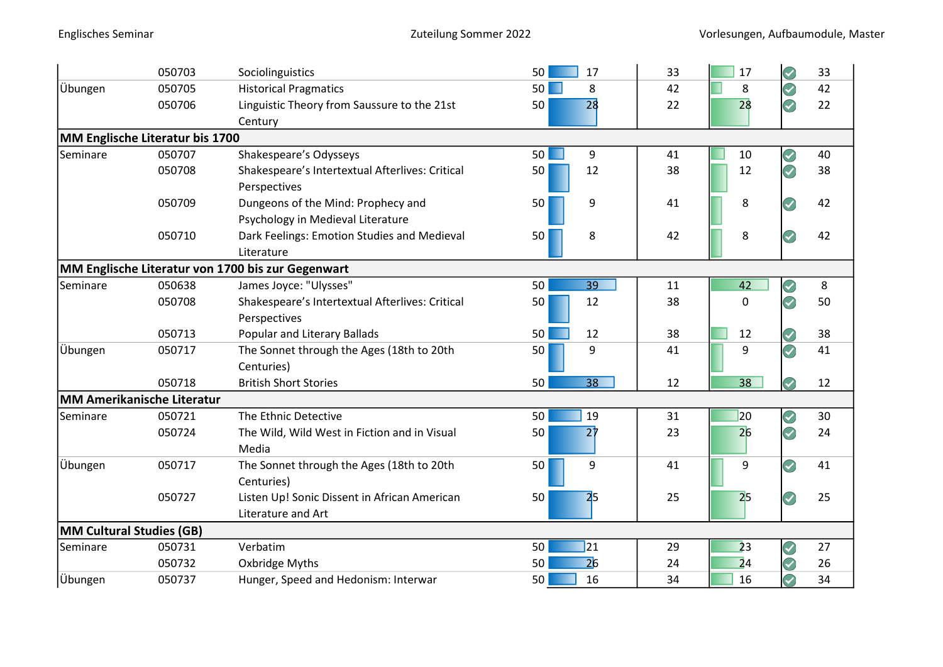|                          | 050703                            | Sociolinguistics                                  | 50<br>17              | 33 | Z<br>17<br>33                                    |
|--------------------------|-----------------------------------|---------------------------------------------------|-----------------------|----|--------------------------------------------------|
| Übungen                  | 050705                            | <b>Historical Pragmatics</b>                      | 50 <br>8<br>. .       | 42 | Ø<br>42<br>8                                     |
|                          | 050706                            | Linguistic Theory from Saussure to the 21st       | 28<br>50              | 22 | $\color{blue}\mathcal{Q}$<br>22<br>28            |
|                          |                                   | Century                                           |                       |    |                                                  |
|                          | MM Englische Literatur bis 1700   |                                                   |                       |    |                                                  |
| Seminare                 | 050707                            | Shakespeare's Odysseys                            | 50<br>H<br>9          | 41 | 40<br>10<br>J                                    |
|                          | 050708                            | Shakespeare's Intertextual Afterlives: Critical   | 12<br>50              | 38 | 38<br>12                                         |
|                          |                                   | Perspectives                                      |                       |    |                                                  |
|                          | 050709                            | Dungeons of the Mind: Prophecy and                | 50<br>9               | 41 | 42<br>8                                          |
|                          |                                   | Psychology in Medieval Literature                 |                       |    |                                                  |
|                          | 050710                            | Dark Feelings: Emotion Studies and Medieval       | 8<br>50               | 42 | 8<br>42                                          |
|                          |                                   | Literature                                        |                       |    |                                                  |
|                          |                                   | MM Englische Literatur von 1700 bis zur Gegenwart |                       |    |                                                  |
| Seminare                 | 050638                            | James Joyce: "Ulysses"                            | 39<br>50              | 11 | 42<br>8<br>Ø                                     |
|                          | 050708                            | Shakespeare's Intertextual Afterlives: Critical   | 12<br>50              | 38 | Q<br>50<br>0                                     |
|                          |                                   | Perspectives                                      |                       |    |                                                  |
|                          | 050713                            | <b>Popular and Literary Ballads</b>               | 50<br>12              | 38 | 38<br>12                                         |
| Übungen                  | 050717                            | The Sonnet through the Ages (18th to 20th         | 9<br>50               | 41 | 9<br>41                                          |
|                          |                                   | Centuries)                                        |                       |    |                                                  |
|                          | 050718                            | <b>British Short Stories</b>                      | 50<br>38              | 12 | 38<br>12                                         |
|                          | <b>MM Amerikanische Literatur</b> |                                                   |                       |    |                                                  |
| Seminare                 | 050721                            | The Ethnic Detective                              | 50<br>19              | 31 | $ 20\rangle$<br>30<br>$\boldsymbol{\mathcal{S}}$ |
|                          | 050724                            | The Wild, Wild West in Fiction and in Visual      | $2\dagger$<br>50      | 23 | 26<br>24                                         |
|                          |                                   | Media                                             |                       |    |                                                  |
| Übungen                  | 050717                            | The Sonnet through the Ages (18th to 20th         | 9<br>50               | 41 | 9<br>41                                          |
|                          |                                   | Centuries)                                        |                       |    |                                                  |
|                          | 050727                            | Listen Up! Sonic Dissent in African American      | 2 <sub>5</sub><br>50  | 25 | 25<br>25                                         |
|                          |                                   | Literature and Art                                |                       |    |                                                  |
| MM Cultural Studies (GB) |                                   |                                                   |                       |    |                                                  |
| Seminare                 | 050731                            | Verbatim                                          | $\overline{21}$<br>50 | 29 | $\overline{23}$<br>27<br>V                       |
|                          | 050732                            | Oxbridge Myths                                    | $\overline{26}$<br>50 | 24 | $\overline{2}4$<br>26                            |
| <b>Übungen</b>           | 050737                            | Hunger, Speed and Hedonism: Interwar              | 16<br>50              | 34 | 16<br>34                                         |